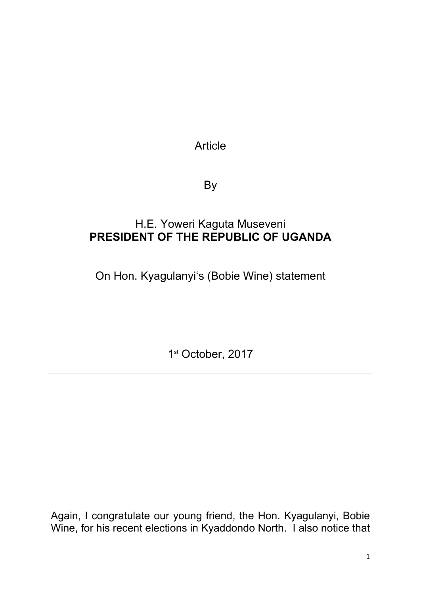

Again, I congratulate our young friend, the Hon. Kyagulanyi, Bobie Wine, for his recent elections in Kyaddondo North. I also notice that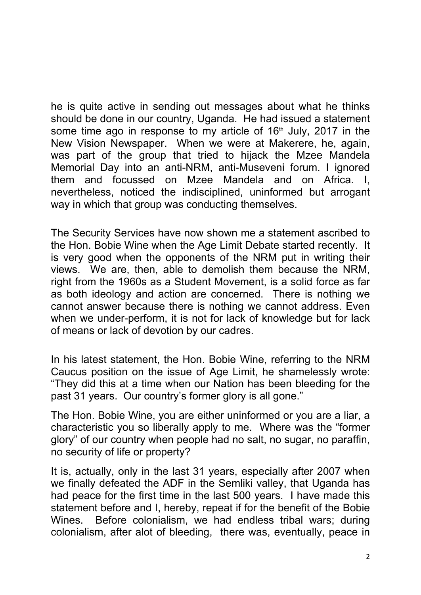he is quite active in sending out messages about what he thinks should be done in our country, Uganda. He had issued a statement some time ago in response to my article of  $16<sup>th</sup>$  July, 2017 in the New Vision Newspaper. When we were at Makerere, he, again, was part of the group that tried to hijack the Mzee Mandela Memorial Day into an anti-NRM, anti-Museveni forum. I ignored them and focussed on Mzee Mandela and on Africa. I, nevertheless, noticed the indisciplined, uninformed but arrogant way in which that group was conducting themselves.

The Security Services have now shown me a statement ascribed to the Hon. Bobie Wine when the Age Limit Debate started recently. It is very good when the opponents of the NRM put in writing their views. We are, then, able to demolish them because the NRM, right from the 1960s as a Student Movement, is a solid force as far as both ideology and action are concerned. There is nothing we cannot answer because there is nothing we cannot address. Even when we under-perform, it is not for lack of knowledge but for lack of means or lack of devotion by our cadres.

In his latest statement, the Hon. Bobie Wine, referring to the NRM Caucus position on the issue of Age Limit, he shamelessly wrote: "They did this at a time when our Nation has been bleeding for the past 31 years. Our country's former glory is all gone."

The Hon. Bobie Wine, you are either uninformed or you are a liar, a characteristic you so liberally apply to me. Where was the "former glory" of our country when people had no salt, no sugar, no paraffin, no security of life or property?

It is, actually, only in the last 31 years, especially after 2007 when we finally defeated the ADF in the Semliki valley, that Uganda has had peace for the first time in the last 500 years. I have made this statement before and I, hereby, repeat if for the benefit of the Bobie Wines. Before colonialism, we had endless tribal wars; during colonialism, after alot of bleeding, there was, eventually, peace in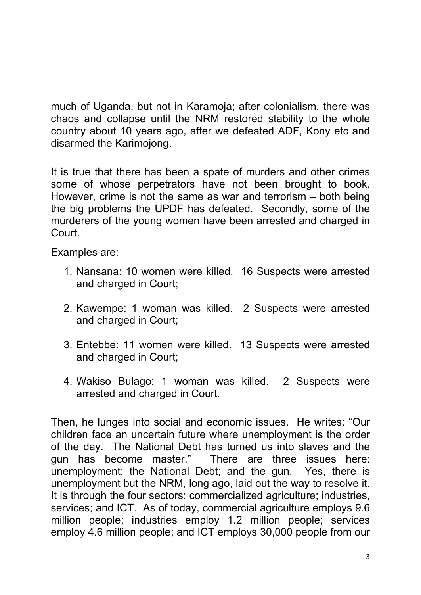much of Uganda, but not in Karamoja; after colonialism, there was chaos and collapse until the NRM restored stability to the whole country about 10 years ago, after we defeated ADF, Kony etc and disarmed the Karimojong.

It is true that there has been a spate of murders and other crimes some of whose perpetrators have not been brought to book. However, crime is not the same as war and terrorism – both being the big problems the UPDF has defeated. Secondly, some of the murderers of the young women have been arrested and charged in Court.

Examples are:

- 1. Nansana: 10 women were killed. 16 Suspects were arrested and charged in Court;
- 2. Kawempe: 1 woman was killed. 2 Suspects were arrested and charged in Court;
- 3. Entebbe: 11 women were killed. 13 Suspects were arrested and charged in Court;
- 4. Wakiso Bulago: 1 woman was killed. 2 Suspects were arrested and charged in Court.

Then, he lunges into social and economic issues. He writes: "Our children face an uncertain future where unemployment is the order of the day. The National Debt has turned us into slaves and the gun has become master." There are three issues here: unemployment; the National Debt; and the gun. Yes, there is unemployment but the NRM, long ago, laid out the way to resolve it. It is through the four sectors: commercialized agriculture; industries, services; and ICT. As of today, commercial agriculture employs 9.6 million people; industries employ 1.2 million people; services employ 4.6 million people; and ICT employs 30,000 people from our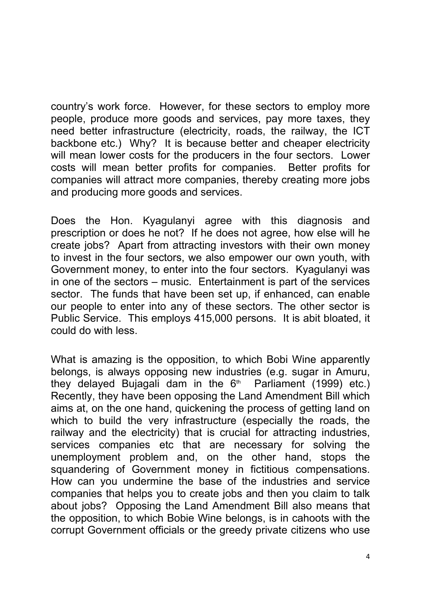country's work force. However, for these sectors to employ more people, produce more goods and services, pay more taxes, they need better infrastructure (electricity, roads, the railway, the ICT backbone etc.) Why? It is because better and cheaper electricity will mean lower costs for the producers in the four sectors. Lower costs will mean better profits for companies. Better profits for companies will attract more companies, thereby creating more jobs and producing more goods and services.

Does the Hon. Kyagulanyi agree with this diagnosis and prescription or does he not? If he does not agree, how else will he create jobs? Apart from attracting investors with their own money to invest in the four sectors, we also empower our own youth, with Government money, to enter into the four sectors. Kyagulanyi was in one of the sectors – music. Entertainment is part of the services sector. The funds that have been set up, if enhanced, can enable our people to enter into any of these sectors. The other sector is Public Service. This employs 415,000 persons. It is abit bloated, it could do with less.

What is amazing is the opposition, to which Bobi Wine apparently belongs, is always opposing new industries (e.g. sugar in Amuru, they delayed Bujagali dam in the 6<sup>th</sup> Parliament (1999) etc.) Recently, they have been opposing the Land Amendment Bill which aims at, on the one hand, quickening the process of getting land on which to build the very infrastructure (especially the roads, the railway and the electricity) that is crucial for attracting industries, services companies etc that are necessary for solving the unemployment problem and, on the other hand, stops the squandering of Government money in fictitious compensations. How can you undermine the base of the industries and service companies that helps you to create jobs and then you claim to talk about jobs? Opposing the Land Amendment Bill also means that the opposition, to which Bobie Wine belongs, is in cahoots with the corrupt Government officials or the greedy private citizens who use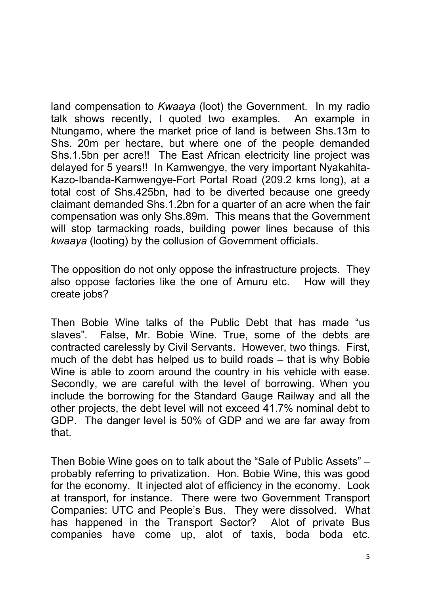land compensation to *Kwaaya* (loot) the Government. In my radio talk shows recently, I quoted two examples. An example in Ntungamo, where the market price of land is between Shs.13m to Shs. 20m per hectare, but where one of the people demanded Shs.1.5bn per acre!! The East African electricity line project was delayed for 5 years!! In Kamwengye, the very important Nyakahita-Kazo-Ibanda-Kamwengye-Fort Portal Road (209.2 kms long), at a total cost of Shs.425bn, had to be diverted because one greedy claimant demanded Shs.1.2bn for a quarter of an acre when the fair compensation was only Shs.89m. This means that the Government will stop tarmacking roads, building power lines because of this *kwaaya* (looting) by the collusion of Government officials.

The opposition do not only oppose the infrastructure projects. They also oppose factories like the one of Amuru etc. How will they create jobs?

Then Bobie Wine talks of the Public Debt that has made "us slaves". False, Mr. Bobie Wine. True, some of the debts are contracted carelessly by Civil Servants. However, two things. First, much of the debt has helped us to build roads – that is why Bobie Wine is able to zoom around the country in his vehicle with ease. Secondly, we are careful with the level of borrowing. When you include the borrowing for the Standard Gauge Railway and all the other projects, the debt level will not exceed 41.7% nominal debt to GDP. The danger level is 50% of GDP and we are far away from that.

Then Bobie Wine goes on to talk about the "Sale of Public Assets" – probably referring to privatization. Hon. Bobie Wine, this was good for the economy. It injected alot of efficiency in the economy. Look at transport, for instance. There were two Government Transport Companies: UTC and People's Bus. They were dissolved. What has happened in the Transport Sector? Alot of private Bus companies have come up, alot of taxis, boda boda etc.